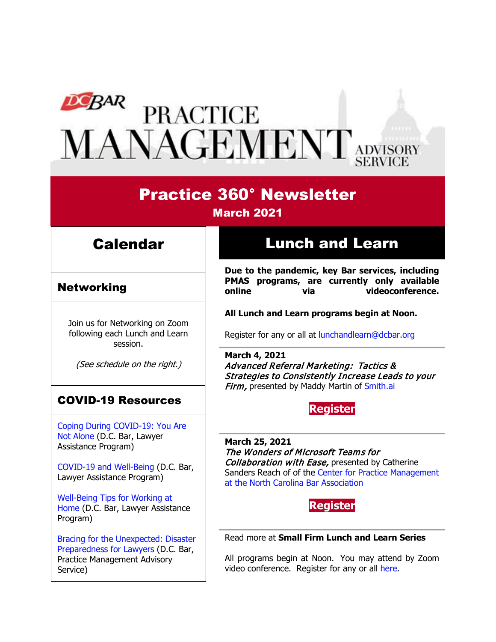# **PEAR PRACTICE<br>MANAGEMENT** ADVISORY

# Practice 360° Newsletter

### March 2021

## **Calendar**

### Networking

Join us for Networking on Zoom following each Lunch and Learn session.

(See schedule on the right.)

## COVID-19 Resources

[Coping During COVID-19: You Are](https://www.dcbar.org/news-events/news/coping-during-covid-19-you-are-not-alone?utm_source=Real%20Magnet&utm_medium=INSERT_CHANNEL&utm_campaign=INSERT_LINK_ID)  [Not Alone](https://www.dcbar.org/news-events/news/coping-during-covid-19-you-are-not-alone?utm_source=Real%20Magnet&utm_medium=INSERT_CHANNEL&utm_campaign=INSERT_LINK_ID) (D.C. Bar, Lawyer Assistance Program)

[COVID-19 and Well-Being](https://dcbarcms-uat3.i3digital.com/DCBar/i3Base/DCBar/For%20Lawyers/Lawyer%20Assistance%20Program/PDFs/covid-19-and-well-being.pdf) (D.C. Bar, Lawyer Assistance Program)

[Well-Being Tips for Working at](https://dcbarcms-uat3.i3digital.com/DCBar/i3Base/DCBar/For%20Lawyers/Lawyer%20Assistance%20Program/PDFs/Wellness-Tips-Working-From-Home.pdf)  [Home](https://dcbarcms-uat3.i3digital.com/DCBar/i3Base/DCBar/For%20Lawyers/Lawyer%20Assistance%20Program/PDFs/Wellness-Tips-Working-From-Home.pdf) (D.C. Bar, Lawyer Assistance Program)

[Bracing for the Unexpected: Disaster](https://www.dcbar.org/news-events/news/bracing-for-the-unexpected-disaster-preparedness-f?utm_source=Real%20Magnet&utm_medium=INSERT_CHANNEL&utm_campaign=INSERT_LINK_ID)  [Preparedness for Lawyers](https://www.dcbar.org/news-events/news/bracing-for-the-unexpected-disaster-preparedness-f?utm_source=Real%20Magnet&utm_medium=INSERT_CHANNEL&utm_campaign=INSERT_LINK_ID) (D.C. Bar, Practice Management Advisory Service)

# Lunch and Learn

**Due to the pandemic, key Bar services, including PMAS programs, are currently only available**  via videoconference.

**All Lunch and Learn programs begin at Noon.**

Register for any or all at [lunchandlearn@dcbar.org](mailto:lunchandlearn@dcbar.org?subject=Lunch%20and%20Learn)

**March 4, 2021** Advanced Referral Marketing: Tactics & Strategies to Consistently Increase Leads to your Firm, presented by Maddy Martin of [Smith.ai](https://smith.ai/)

#### **[Register](https://dcbar.inreachce.com/Details/Information/f0f0852c-515e-421d-b0bf-8f0569768049)**

**March 25, 2021** The Wonders of Microsoft Teams for Collaboration with Ease, presented by Catherine Sanders Reach of of the [Center for Practice Management](https://www.ncbar.org/members/resources/center-for-practice-management/)  [at the North Carolina Bar Association](https://www.ncbar.org/members/resources/center-for-practice-management/)



Read more at **[Small Firm Lunch](https://www.dcbar.org/for-lawyers/practice-management-advisory-service/courses-and-trainings/small-firm-lunch-and-learn-series?utm_source=Real%20Magnet&utm_medium=INSERT_CHANNEL&utm_campaign=INSERT_LINK_ID) and Learn Series**

All programs begin at Noon. You may attend by Zoom video conference. Register for any or all [here.](https://www.dcbar.org/for-lawyers/practice-management-advisory-service/courses-and-trainings/small-firm-lunch-and-learn-series?utm_source=Real%20Magnet&utm_medium=INSERT_CHANNEL&utm_campaign=INSERT_LINK_ID)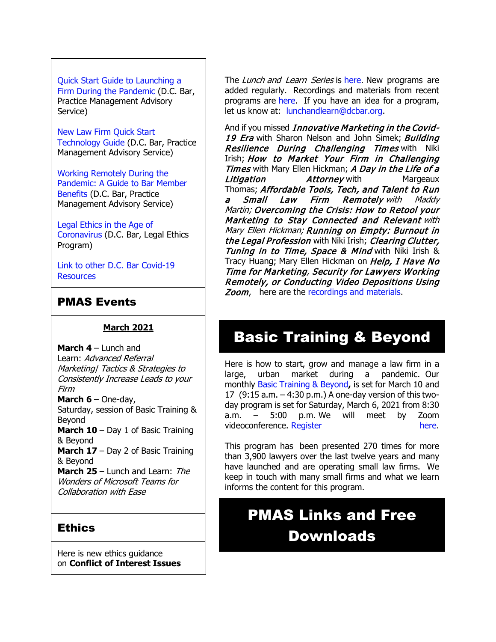#### [Quick Start Guide to Launching a](https://www.dcbar.org/getmedia/d28b7c4b-3dcb-419e-828d-fdc2340588f9/Career-disruption-setting-up-a-law-firm-quickly-resources?utm_source=Real%20Magnet&utm_medium=INSERT_CHANNEL&utm_campaign=INSERT_LINK_ID)

[Firm During the Pandemic](https://www.dcbar.org/getmedia/d28b7c4b-3dcb-419e-828d-fdc2340588f9/Career-disruption-setting-up-a-law-firm-quickly-resources?utm_source=Real%20Magnet&utm_medium=INSERT_CHANNEL&utm_campaign=INSERT_LINK_ID) (D.C. Bar, Practice Management Advisory Service)

[New Law Firm Quick Start](https://www.dcbar.org/getmedia/34a3addd-9a13-4fc7-8e68-fbc2be8b50e0/Quick-start-Tech-Guide-final?utm_source=Real%20Magnet&utm_medium=INSERT_CHANNEL&utm_campaign=INSERT_LINK_ID)  [Technology Guide](https://www.dcbar.org/getmedia/34a3addd-9a13-4fc7-8e68-fbc2be8b50e0/Quick-start-Tech-Guide-final?utm_source=Real%20Magnet&utm_medium=INSERT_CHANNEL&utm_campaign=INSERT_LINK_ID) (D.C. Bar, Practice Management Advisory Service)

[Working Remotely During the](https://www.dcbar.org/news-events/news/working-remotely-during-the-pandemic-a-guide-to-ba?utm_source=Real%20Magnet&utm_medium=INSERT_CHANNEL&utm_campaign=INSERT_LINK_ID)  [Pandemic: A Guide to Bar Member](https://www.dcbar.org/news-events/news/working-remotely-during-the-pandemic-a-guide-to-ba?utm_source=Real%20Magnet&utm_medium=INSERT_CHANNEL&utm_campaign=INSERT_LINK_ID)  [Benefits](https://www.dcbar.org/news-events/news/working-remotely-during-the-pandemic-a-guide-to-ba?utm_source=Real%20Magnet&utm_medium=INSERT_CHANNEL&utm_campaign=INSERT_LINK_ID) (D.C. Bar, Practice Management Advisory Service)

[Legal Ethics in the Age of](https://www.dcbar.org/news-events/news/legal-ethics-in-the-age-of-the-coronavirus?utm_source=Real%20Magnet&utm_medium=INSERT_CHANNEL&utm_campaign=INSERT_LINK_ID)  [Coronavirus](https://www.dcbar.org/news-events/news/legal-ethics-in-the-age-of-the-coronavirus?utm_source=Real%20Magnet&utm_medium=INSERT_CHANNEL&utm_campaign=INSERT_LINK_ID) (D.C. Bar, Legal Ethics Program)

[Link to other D.C. Bar Covid-19](https://www.dcbar.org/for-lawyers/membership/covid-19-resources?utm_source=Real%20Magnet&utm_medium=INSERT_CHANNEL&utm_campaign=INSERT_LINK_ID)  **[Resources](https://www.dcbar.org/for-lawyers/membership/covid-19-resources?utm_source=Real%20Magnet&utm_medium=INSERT_CHANNEL&utm_campaign=INSERT_LINK_ID)** 

## PMAS Events

#### **March 2021**

**March 4** – Lunch and Learn: Advanced Referral Marketing| Tactics & Strategies to Consistently Increase Leads to your Firm **March 6** – One-day, Saturday, session of Basic Training & Beyond **March 10** – Day 1 of Basic Training & Beyond **March 17** – Day 2 of Basic Training & Beyond **March 25** – Lunch and Learn: *The* Wonders of Microsoft Teams for Collaboration with Ease

#### **Ethics**

Here is new ethics guidance on **Conflict of Interest Issues**  The Lunch and Learn Series is [here.](https://www.dcbar.org/for-lawyers/practice-management-advisory-service/courses-and-trainings/small-firm-lunch-and-learn-series?utm_source=Real%20Magnet&utm_medium=INSERT_CHANNEL&utm_campaign=INSERT_LINK_ID) New programs are added regularly. Recordings and materials from recent programs are [here.](https://www.dcbar.org/for-lawyers/practice-management-advisory-service/courses-and-trainings/small-firm-lunch-and-learn-series/past-lunch-and-learn-programs?utm_source=Real%20Magnet&utm_medium=INSERT_CHANNEL&utm_campaign=INSERT_LINK_ID) If you have an idea for a program, let us know at: [lunchandlearn@dcbar.org.](mailto:lunchandlearn@dcbar.org)

And if you missed *Innovative Marketing in the Covid-*19 Era with Sharon Nelson and John Simek; Building **Resilience During Challenging Times with Niki** Irish; How to Market Your Firm in Challenging Times with Mary Ellen Hickman; A Day in the Life of a **Litigation Margeaux** Attorney with Margeaux Thomas; Affordable Tools, Tech, and Talent to Run a Small Law Firm Remotely with Maddy Martin; Overcoming the Crisis: How to Retool your Marketing to Stay Connected and Relevant with Mary Ellen Hickman; Running on Empty: Burnout in the Legal Profession with Niki Irish; Clearing Clutter, Tuning in to Time, Space & Mind with Niki Irish & Tracy Huang; Mary Ellen Hickman on Help, I Have No Time for Marketing, Security for Lawyers Working Remotely, or Conducting Video Depositions Using Zoom, here are the [recordings and materials.](https://www.dcbar.org/for-lawyers/practice-management-advisory-service/courses-and-trainings/small-firm-lunch-and-learn-series/past-lunch-and-learn-programs?utm_source=Real%20Magnet&utm_medium=INSERT_CHANNEL&utm_campaign=INSERT_LINK_ID)

# Basic Training & Beyond

Here is how to start, grow and manage a law firm in a large, urban market during a pandemic. Our monthly [Basic Training & Beyond](http://www.mmsend31.com/link.cfm?r=zvkjaWqFFUTRz65Avl-Ftw%7E%7E&pe=c3ph7NU-Re1l6uj-xoZC_Nqnf2HGTrpIRRfl_qZmlgZN_I06rShTZ-AlGs0Wp7CGgKUozsdU2izsioLhmXaRbg%7E%7E&t=prXb-jowJMuBRf73r4YKRA%7E%7E)**,** is set for March 10 and 17 (9:15 a.m. – 4:30 p.m.) A one-day version of this twoday program is set for Saturday, March 6, 2021 from 8:30 a.m. – 5:00 p.m. We will meet by Zoom videoconference. [Register here.](http://www.mmsend31.com/link.cfm?r=zvkjaWqFFUTRz65Avl-Ftw%7E%7E&pe=BxjSlIjTK_3i3Os02s37pODjnSEaSaIBfLm0UarKy-K07-G29KY0F7SoVNdKQgSYIVrXVvuyFBcMiPY5X35JOA%7E%7E&t=prXb-jowJMuBRf73r4YKRA%7E%7E)

This program has been presented 270 times for more than 3,900 lawyers over the last twelve years and many have launched and are operating small law firms. We keep in touch with many small firms and what we learn informs the content for this program.

# PMAS Links and Free Downloads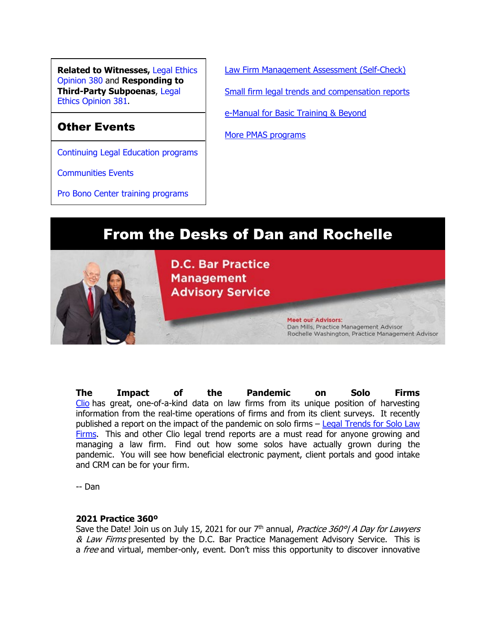**Related to Witnesses,** [Legal Ethics](https://www.dcbar.org/getmedia/157836df-95d6-423c-b928-3dd1ce946c3b/opinion_380-(1)?utm_source=Real%20Magnet&utm_medium=INSERT_CHANNEL&utm_campaign=INSERT_LINK_ID)  [Opinion 380](https://www.dcbar.org/getmedia/157836df-95d6-423c-b928-3dd1ce946c3b/opinion_380-(1)?utm_source=Real%20Magnet&utm_medium=INSERT_CHANNEL&utm_campaign=INSERT_LINK_ID) and **Responding to Third-Party Subpoenas**, [Legal](https://www.dcbar.org/getmedia/841cc5e4-dffc-4da0-bc1a-b96e7f48f100/opinion_381?utm_source=Real%20Magnet&utm_medium=INSERT_CHANNEL&utm_campaign=INSERT_LINK_ID)  [Ethics Opinion 381.](https://www.dcbar.org/getmedia/841cc5e4-dffc-4da0-bc1a-b96e7f48f100/opinion_381?utm_source=Real%20Magnet&utm_medium=INSERT_CHANNEL&utm_campaign=INSERT_LINK_ID)

## Other Events

[Continuing Legal Education programs](https://join.dcbar.org/eweb/DynamicPage.aspx?Site=DCBar&WebKey=cbe606bc-88d4-4d37-872c-f48d412a59e5&evt_etc_key=7aaf572d-f662-422f-9fe7-0ae3f4b705be&utm_source=Real%20Magnet&utm_medium=INSERT_CHANNEL&utm_campaign=INSERT_LINK_ID)

[Communities Events](https://join.dcbar.org/eweb/DynamicPage.aspx?site=dcbar&webcode=EventList&utm_source=Real%20Magnet&utm_medium=INSERT_CHANNEL&utm_campaign=INSERT_LINK_ID)

[Pro Bono Center training programs](https://www.dcbar.org/pro-bono/resources-and-training/pro-bono-center-training-program?utm_source=Real%20Magnet&utm_medium=INSERT_CHANNEL&utm_campaign=INSERT_LINK_ID)

[Law Firm Management Assessment \(Self-Check\)](https://www.dcbar.org/for-lawyers/practice-management-advisory-service/practice-tips-and-compliance/self-check?utm_source=Real%20Magnet&utm_medium=INSERT_CHANNEL&utm_campaign=INSERT_LINK_ID) [Small firm legal trends and compensation reports](https://www.dcbar.org/for-lawyers/practice-management-advisory-service/courses-and-trainings/basic-training-beyond/basic-training-beyond-supplements?utm_source=Real%20Magnet&utm_medium=INSERT_CHANNEL&utm_campaign=INSERT_LINK_ID) [e-Manual for Basic Training & Beyond](https://documentcloud.adobe.com/link/review?uri=urn:aaid:scds:US:2182dc5f-4a8c-435d-bb76-280eddc57a6d)

**Meet our Advisors:** 

Dan Mills, Practice Management Advisor

Rochelle Washington, Practice Management Advisor

[More PMAS programs](https://www.dcbar.org/for-lawyers/practice-management-advisory-service/courses-and-trainings?utm_source=Real%20Magnet&utm_medium=INSERT_CHANNEL&utm_campaign=INSERT_LINK_ID)



**D.C. Bar Practice Management Advisory Service** 

**The Impact of the Pandemic on Solo Firms** [Clio](http://www.mmsend31.com/link.cfm?r=zvkjaWqFFUTRz65Avl-Ftw%7E%7E&pe=Okm1VHcOQ2pJGXonqgQp8gWo8RvlLDu9yzuASMESSo5KtuQ8LmB0tbfGiUjoUTe3dQ5s8jdfe-xlFeZYdPFwVQ%7E%7E&t=1si-At5fUTGiPW-yXDQlhw%7E%7E) has great, one-of-a-kind data on law firms from its unique position of harvesting information from the real-time operations of firms and from its client surveys. It recently published a report on the impact of the pandemic on solo firms – Legal Trends for Solo Law [Firms.](http://www.mmsend31.com/link.cfm?r=zvkjaWqFFUTRz65Avl-Ftw%7E%7E&pe=DmLE253gxe2phSDaTVw6AMJJWqJrZFqQX6Dv3kEi3iqmh88aJXipc9Rcd--1hUnnG9TxgBPWEQNd_1rt0kp4jg%7E%7E&t=1si-At5fUTGiPW-yXDQlhw%7E%7E) This and other Clio legal trend reports are a must read for anyone growing and managing a law firm. Find out how some solos have actually grown during the pandemic. You will see how beneficial electronic payment, client portals and good intake and CRM can be for your firm.

-- Dan

#### **2021 Practice 360º**

Save the Date! Join us on July 15, 2021 for our  $7<sup>th</sup>$  annual, *Practice 360<sup>o</sup>*/ A Day for Lawyers & Law Firms presented by the D.C. Bar Practice Management Advisory Service. This is a free and virtual, member-only, event. Don't miss this opportunity to discover innovative